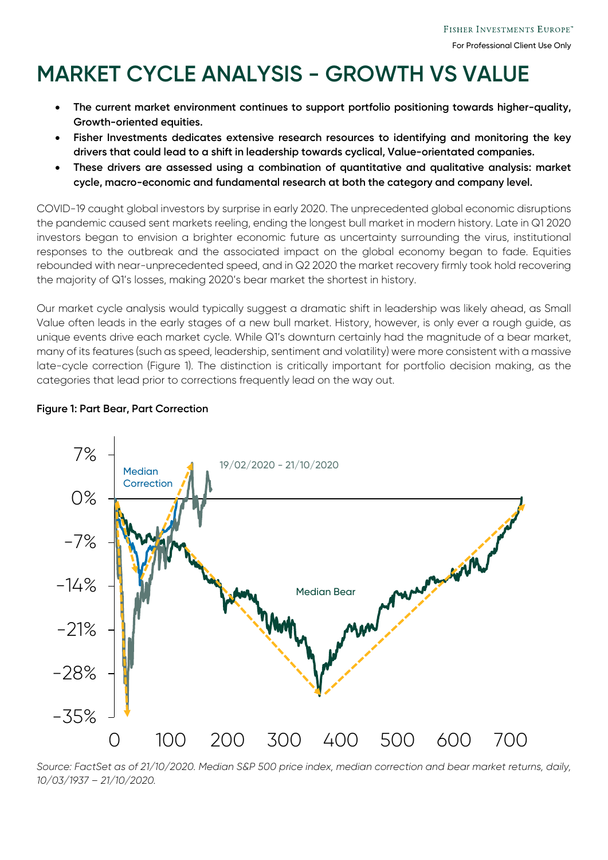# **MARKET CYCLE ANALYSIS - GROWTH VS VALUE**

- **The current market environment continues to support portfolio positioning towards higher-quality, Growth-oriented equities.**
- **Fisher Investments dedicates extensive research resources to identifying and monitoring the key drivers that could lead to a shift in leadership towards cyclical, Value-orientated companies.**
- **These drivers are assessed using a combination of quantitative and qualitative analysis: market cycle, macro-economic and fundamental research at both the category and company level.**

COVID-19 caught global investors by surprise in early 2020. The unprecedented global economic disruptions the pandemic caused sent markets reeling, ending the longest bull market in modern history. Late in Q1 2020 investors began to envision a brighter economic future as uncertainty surrounding the virus, institutional responses to the outbreak and the associated impact on the global economy began to fade. Equities rebounded with near-unprecedented speed, and in Q2 2020 the market recovery firmly took hold recovering the majority of Q1's losses, making 2020's bear market the shortest in history.

Our market cycle analysis would typically suggest a dramatic shift in leadership was likely ahead, as Small Value often leads in the early stages of a new bull market. History, however, is only ever a rough guide, as unique events drive each market cycle. While Q1's downturn certainly had the magnitude of a bear market, many of its features (such as speed, leadership, sentiment and volatility) were more consistent with a massive late-cycle correction (Figure 1). The distinction is critically important for portfolio decision making, as the categories that lead prior to corrections frequently lead on the way out.

#### **Figure 1: Part Bear, Part Correction**



*Source: FactSet as of 21/10/2020. Median S&P 500 price index, median correction and bear market returns, daily, 10/03/1937 – 21/10/2020.*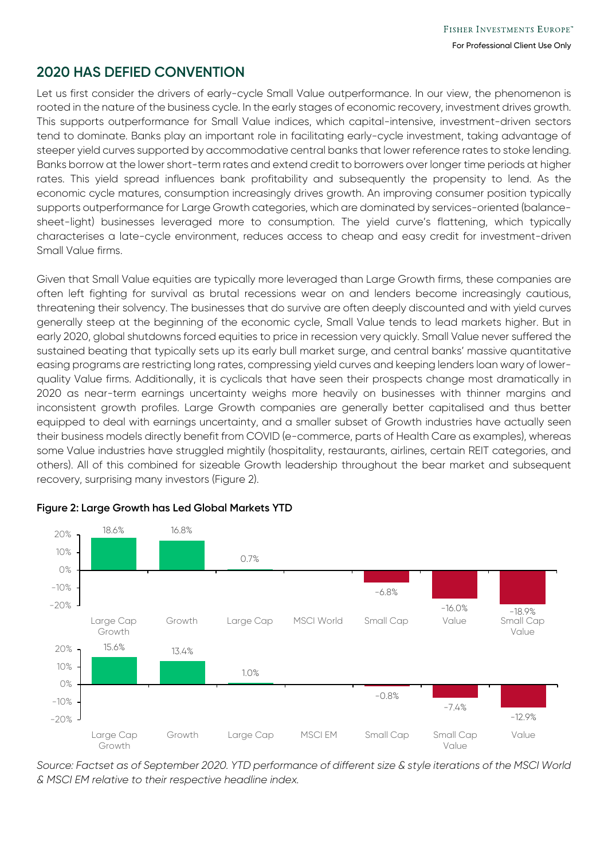# **2020 HAS DEFIED CONVENTION**

Let us first consider the drivers of early-cycle Small Value outperformance. In our view, the phenomenon is rooted in the nature of the business cycle. In the early stages of economic recovery, investment drives growth. This supports outperformance for Small Value indices, which capital-intensive, investment-driven sectors tend to dominate. Banks play an important role in facilitating early-cycle investment, taking advantage of steeper yield curves supported by accommodative central banks that lower reference rates to stoke lending. Banks borrow at the lower short-term rates and extend credit to borrowers over longer time periods at higher rates. This yield spread influences bank profitability and subsequently the propensity to lend. As the economic cycle matures, consumption increasingly drives growth. An improving consumer position typically supports outperformance for Large Growth categories, which are dominated by services-oriented (balancesheet-light) businesses leveraged more to consumption. The yield curve's flattening, which typically characterises a late-cycle environment, reduces access to cheap and easy credit for investment-driven Small Value firms.

Given that Small Value equities are typically more leveraged than Large Growth firms, these companies are often left fighting for survival as brutal recessions wear on and lenders become increasingly cautious, threatening their solvency. The businesses that do survive are often deeply discounted and with yield curves generally steep at the beginning of the economic cycle, Small Value tends to lead markets higher. But in early 2020, global shutdowns forced equities to price in recession very quickly. Small Value never suffered the sustained beating that typically sets up its early bull market surge, and central banks' massive quantitative easing programs are restricting long rates, compressing yield curves and keeping lenders loan wary of lowerquality Value firms. Additionally, it is cyclicals that have seen their prospects change most dramatically in 2020 as near-term earnings uncertainty weighs more heavily on businesses with thinner margins and inconsistent growth profiles. Large Growth companies are generally better capitalised and thus better equipped to deal with earnings uncertainty, and a smaller subset of Growth industries have actually seen their business models directly benefit from COVID (e-commerce, parts of Health Care as examples), whereas some Value industries have struggled mightily (hospitality, restaurants, airlines, certain REIT categories, and others). All of this combined for sizeable Growth leadership throughout the bear market and subsequent recovery, surprising many investors (Figure 2).



#### **Figure 2: Large Growth has Led Global Markets YTD**

*Source: Factset as of September 2020. YTD performance of different size & style iterations of the MSCI World & MSCI EM relative to their respective headline index.*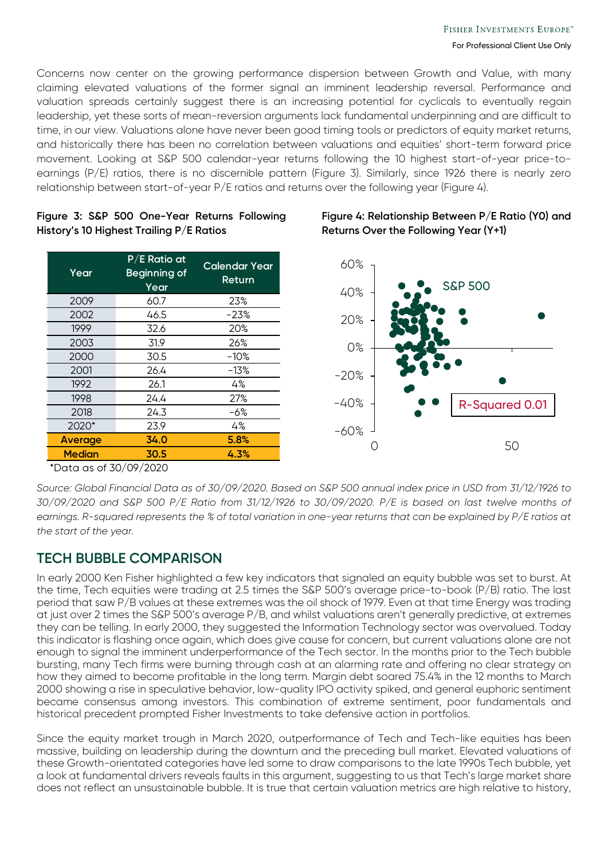Concerns now center on the growing performance dispersion between Growth and Value, with many claiming elevated valuations of the former signal an imminent leadership reversal. Performance and valuation spreads certainly suggest there is an increasing potential for cyclicals to eventually regain leadership, yet these sorts of mean-reversion arguments lack fundamental underpinning and are difficult to time, in our view. Valuations alone have never been good timing tools or predictors of equity market returns, and historically there has been no correlation between valuations and equities' short-term forward price movement. Looking at S&P 500 calendar-year returns following the 10 highest start-of-year price-toearnings (P/E) ratios, there is no discernible pattern (Figure 3). Similarly, since 1926 there is nearly zero relationship between start-of-year P/E ratios and returns over the following year (Figure 4).

#### **Figure 3: S&P 500 One-Year Returns Following History's 10 Highest Trailing P/E Ratios**

| Year          | $P/E$ Ratio at<br>Beginning of<br>Year | <b>Calendar Year</b><br>Return |
|---------------|----------------------------------------|--------------------------------|
| 2009          | 60.7                                   | 23%                            |
| 2002          | 46.5                                   | -23%                           |
| 1999          | 32.6                                   | 20%                            |
| 2003          | 31.9                                   | 26%                            |
| 2000          | 30.5                                   | $-10\%$                        |
| 2001          | 26.4                                   | $-13%$                         |
| 1992          | 26.1                                   | 4%                             |
| 1998          | 24.4                                   | 27%                            |
| 2018          | 24.3                                   | -6%                            |
| 2020*         | 23.9                                   | 4%                             |
| Average       | 34.0                                   | 5.8%                           |
| <b>Median</b> | 30.5                                   | 4.3%                           |

### **Figure 4: Relationship Between P/E Ratio (Y0) and Returns Over the Following Year (Y+1)**



\*Data as of 30/09/2020

*Source: Global Financial Data as of 30/09/2020. Based on S&P 500 annual index price in USD from 31/12/1926 to 30/09/2020 and S&P 500 P/E Ratio from 31/12/1926 to 30/09/2020. P/E is based on last twelve months of earnings. R-squared represents the % of total variation in one-year returns that can be explained by P/E ratios at the start of the year.* 

# **TECH BUBBLE COMPARISON**

In early 2000 Ken Fisher highlighted a few key indicators that signaled an equity bubble was set to burst. At the time, Tech equities were trading at 2.5 times the S&P 500's average price-to-book (P/B) ratio. The last period that saw P/B values at these extremes was the oil shock of 1979. Even at that time Energy was trading at just over 2 times the S&P 500's average P/B, and whilst valuations aren't generally predictive, at extremes they can be telling. In early 2000, they suggested the Information Technology sector was overvalued. Today this indicator is flashing once again, which does give cause for concern, but current valuations alone are not enough to signal the imminent underperformance of the Tech sector. In the months prior to the Tech bubble bursting, many Tech firms were burning through cash at an alarming rate and offering no clear strategy on how they aimed to become profitable in the long term. Margin debt soared 75.4% in the 12 months to March 2000 showing a rise in speculative behavior, low-quality IPO activity spiked, and general euphoric sentiment became consensus among investors. This combination of extreme sentiment, poor fundamentals and historical precedent prompted Fisher Investments to take defensive action in portfolios.

Since the equity market trough in March 2020, outperformance of Tech and Tech-like equities has been massive, building on leadership during the downturn and the preceding bull market. Elevated valuations of these Growth-orientated categories have led some to draw comparisons to the late 1990s Tech bubble, yet a look at fundamental drivers reveals faults in this argument, suggesting to us that Tech's large market share does not reflect an unsustainable bubble. It is true that certain valuation metrics are high relative to history,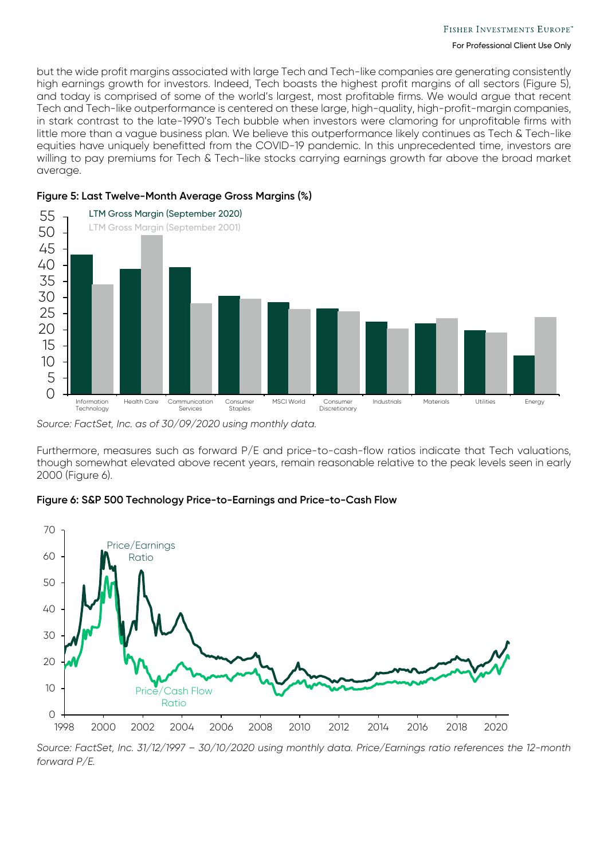but the wide profit margins associated with large Tech and Tech-like companies are generating consistently high earnings growth for investors. Indeed, Tech boasts the highest profit margins of all sectors (Figure 5), and today is comprised of some of the world's largest, most profitable firms. We would argue that recent Tech and Tech-like outperformance is centered on these large, high-quality, high-profit-margin companies, in stark contrast to the late-1990's Tech bubble when investors were clamoring for unprofitable firms with little more than a vague business plan. We believe this outperformance likely continues as Tech & Tech-like equities have uniquely benefitted from the COVID-19 pandemic. In this unprecedented time, investors are willing to pay premiums for Tech & Tech-like stocks carrying earnings growth far above the broad market average.



#### **Figure 5: Last Twelve-Month Average Gross Margins (%)**

*Source: FactSet, Inc. as of 30/09/2020 using monthly data.*

Furthermore, measures such as forward P/E and price-to-cash-flow ratios indicate that Tech valuations, though somewhat elevated above recent years, remain reasonable relative to the peak levels seen in early 2000 (Figure 6).

#### **Figure 6: S&P 500 Technology Price-to-Earnings and Price-to-Cash Flow**



*Source: FactSet, Inc. 31/12/1997 – 30/10/2020 using monthly data. Price/Earnings ratio references the 12-month forward P/E.*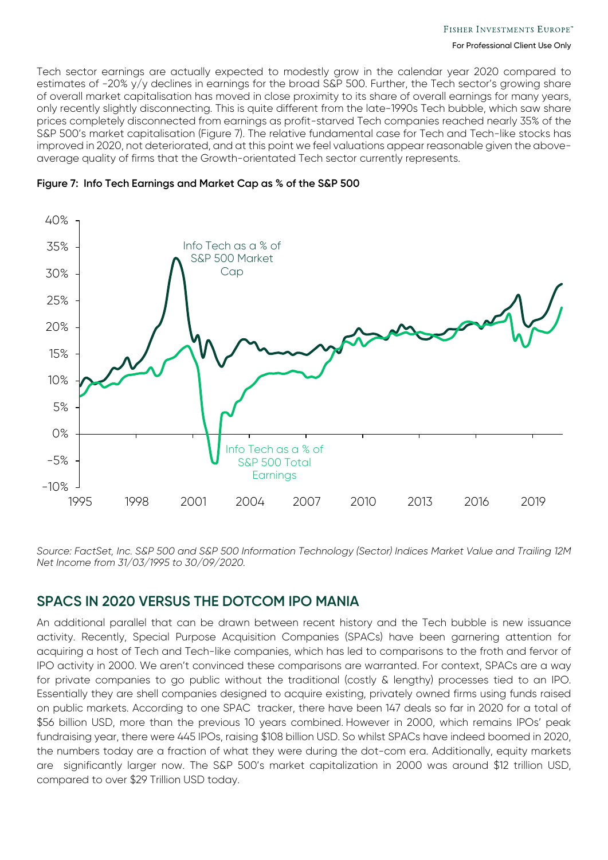Tech sector earnings are actually expected to modestly grow in the calendar year 2020 compared to estimates of -20% y/y declines in earnings for the broad S&P 500. Further, the Tech sector's growing share of overall market capitalisation has moved in close proximity to its share of overall earnings for many years, only recently slightly disconnecting. This is quite different from the late-1990s Tech bubble, which saw share prices completely disconnected from earnings as profit-starved Tech companies reached nearly 35% of the S&P 500's market capitalisation (Figure 7). The relative fundamental case for Tech and Tech-like stocks has improved in 2020, not deteriorated, and at this point we feel valuations appear reasonable given the aboveaverage quality of firms that the Growth-orientated Tech sector currently represents.





*Source: FactSet, Inc. S&P 500 and S&P 500 Information Technology (Sector) Indices Market Value and Trailing 12M Net Income from 31/03/1995 to 30/09/2020.*

## **SPACS IN 2020 VERSUS THE DOTCOM IPO MANIA**

An additional parallel that can be drawn between recent history and the Tech bubble is new issuance activity. Recently, Special Purpose Acquisition Companies (SPACs) have been garnering attention for acquiring a host of Tech and Tech-like companies, which has led to comparisons to the froth and fervor of IPO activity in 2000. We aren't convinced these comparisons are warranted. For context, SPACs are a way for private companies to go public without the traditional (costly & lengthy) processes tied to an IPO. Essentially they are shell companies designed to acquire existing, privately owned firms using funds raised on public markets. According to one SPAC tracker, there have been 147 deals so far in 2020 for a total of \$56 billion USD, more than the previous 10 years combined. However in 2000, which remains IPOs' peak fundraising year, there were 445 IPOs, raising \$108 billion USD. So whilst SPACs have indeed boomed in 2020, the numbers today are a fraction of what they were during the dot-com era. Additionally, equity markets are significantly larger now. The S&P 500's market capitalization in 2000 was around \$12 trillion USD, compared to over \$29 Trillion USD today.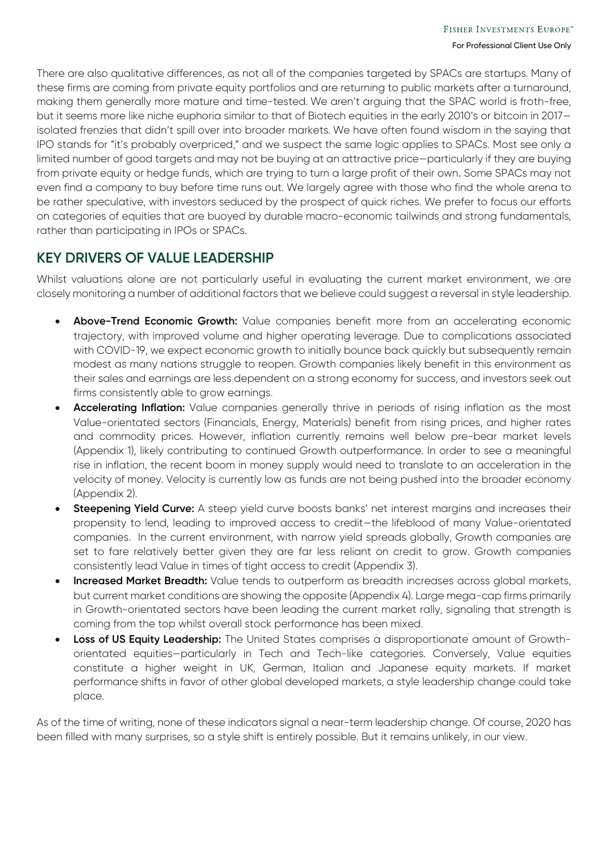There are also qualitative differences, as not all of the companies targeted by SPACs are startups. Many of these firms are coming from private equity portfolios and are returning to public markets after a turnaround, making them generally more mature and time-tested. We aren't arguing that the SPAC world is froth-free, but it seems more like niche euphoria similar to that of Biotech equities in the early 2010's or bitcoin in 2017 isolated frenzies that didn't spill over into broader markets. We have often found wisdom in the saying that IPO stands for "it's probably overpriced," and we suspect the same logic applies to SPACs. Most see only a limited number of good targets and may not be buying at an attractive price—particularly if they are buying from private equity or hedge funds, which are trying to turn a large profit of their own. Some SPACs may not even find a company to buy before time runs out. We largely agree with those who find the whole arena to be rather speculative, with investors seduced by the prospect of quick riches. We prefer to focus our efforts on categories of equities that are buoyed by durable macro-economic tailwinds and strong fundamentals, rather than participating in IPOs or SPACs.

# **KEY DRIVERS OF VALUE LEADERSHIP**

Whilst valuations alone are not particularly useful in evaluating the current market environment, we are closely monitoring a number of additional factors that we believe could suggest a reversal in style leadership.

- **Above-Trend Economic Growth:** Value companies benefit more from an accelerating economic trajectory, with improved volume and higher operating leverage. Due to complications associated with COVID-19, we expect economic growth to initially bounce back quickly but subsequently remain modest as many nations struggle to reopen. Growth companies likely benefit in this environment as their sales and earnings are less dependent on a strong economy for success, and investors seek out firms consistently able to grow earnings.
- **Accelerating Inflation:** Value companies generally thrive in periods of rising inflation as the most Value-orientated sectors (Financials, Energy, Materials) benefit from rising prices, and higher rates and commodity prices. However, inflation currently remains well below pre-bear market levels (Appendix 1), likely contributing to continued Growth outperformance. In order to see a meaningful rise in inflation, the recent boom in money supply would need to translate to an acceleration in the velocity of money. Velocity is currently low as funds are not being pushed into the broader economy (Appendix 2).
- **Steepening Yield Curve:** A steep yield curve boosts banks' net interest margins and increases their propensity to lend, leading to improved access to credit—the lifeblood of many Value-orientated companies. In the current environment, with narrow yield spreads globally, Growth companies are set to fare relatively better given they are far less reliant on credit to grow. Growth companies consistently lead Value in times of tight access to credit (Appendix 3).
- **Increased Market Breadth:** Value tends to outperform as breadth increases across global markets, but current market conditions are showing the opposite (Appendix 4). Large mega-cap firms primarily in Growth-orientated sectors have been leading the current market rally, signaling that strength is coming from the top whilst overall stock performance has been mixed.
- **Loss of US Equity Leadership:** The United States comprises a disproportionate amount of Growthorientated equities—particularly in Tech and Tech-like categories. Conversely, Value equities constitute a higher weight in UK, German, Italian and Japanese equity markets. If market performance shifts in favor of other global developed markets, a style leadership change could take place.

As of the time of writing, none of these indicators signal a near-term leadership change. Of course, 2020 has been filled with many surprises, so a style shift is entirely possible. But it remains unlikely, in our view.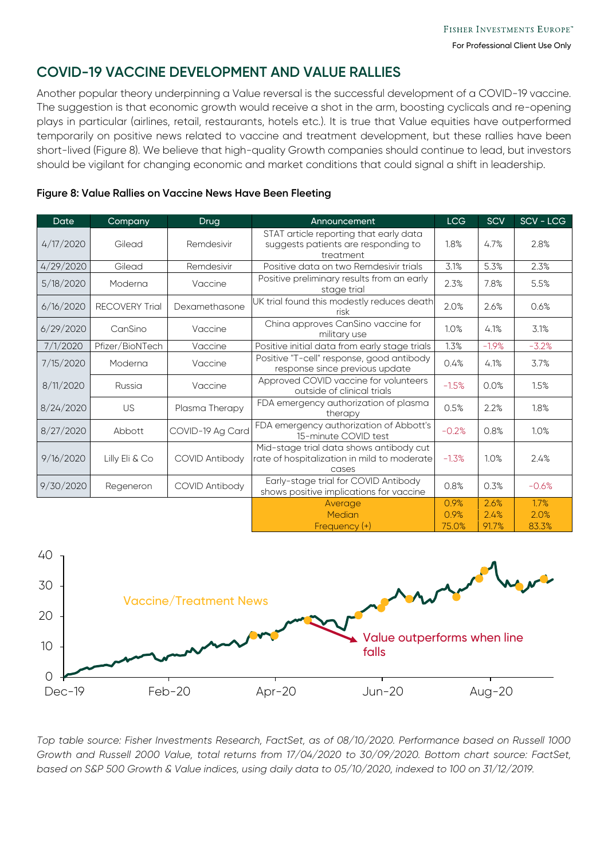# **COVID-19 VACCINE DEVELOPMENT AND VALUE RALLIES**

Another popular theory underpinning a Value reversal is the successful development of a COVID-19 vaccine. The suggestion is that economic growth would receive a shot in the arm, boosting cyclicals and re-opening plays in particular (airlines, retail, restaurants, hotels etc.). It is true that Value equities have outperformed temporarily on positive news related to vaccine and treatment development, but these rallies have been short-lived (Figure 8). We believe that high-quality Growth companies should continue to lead, but investors should be vigilant for changing economic and market conditions that could signal a shift in leadership.

#### **Figure 8: Value Rallies on Vaccine News Have Been Fleeting**

| Date      | Company               | Drug                  | Announcement                                                                                       | <b>LCG</b>   | SCV     | SCV - LCG |
|-----------|-----------------------|-----------------------|----------------------------------------------------------------------------------------------------|--------------|---------|-----------|
| 4/17/2020 | Gilead                | Remdesivir            | STAT article reporting that early data<br>suggests patients are responding to<br>1.8%<br>treatment |              | 4.7%    | 2.8%      |
| 4/29/2020 | Gilead                | Remdesivir            | 3.1%<br>Positive data on two Remdesivir trials                                                     |              | 5.3%    | 2.3%      |
| 5/18/2020 | Moderna               | Vaccine               | Positive preliminary results from an early<br>2.3%<br>stage trial                                  |              | 7.8%    | 5.5%      |
| 6/16/2020 | <b>RECOVERY Trial</b> | Dexamethasone         | UK trial found this modestly reduces death<br>risk                                                 | 2.0%         | 2.6%    | 0.6%      |
| 6/29/2020 | CanSino               | Vaccine               | China approves CanSino vaccine for<br>military use                                                 | 1.0%         | 4.1%    | 3.1%      |
| 7/1/2020  | Pfizer/BioNTech       | Vaccine               | Positive initial data from early stage trials                                                      | 1.3%         | $-1.9%$ | $-3.2%$   |
| 7/15/2020 | Moderna               | Vaccine               | Positive "T-cell" response, good antibody<br>0.4%<br>response since previous update                |              | 4.1%    | 3.7%      |
| 8/11/2020 | Russia                | Vaccine               | Approved COVID vaccine for volunteers<br>$-1.5%$<br>outside of clinical trials                     |              | 0.0%    | 1.5%      |
| 8/24/2020 | US                    | Plasma Therapy        | FDA emergency authorization of plasma<br>0.5%<br>therapy                                           |              | 2.2%    | 1.8%      |
| 8/27/2020 | Abbott                | COVID-19 Ag Card      | FDA emergency authorization of Abbott's<br>15-minute COVID test                                    | $-0.2%$      | 0.8%    | 1.0%      |
| 9/16/2020 | Lilly Eli & Co        | <b>COVID Antibody</b> | Mid-stage trial data shows antibody cut<br>rate of hospitalization in mild to moderate<br>cases    | $-1.3%$      | 1.0%    | 2.4%      |
| 9/30/2020 | Regeneron             | <b>COVID Antibody</b> | Early-stage trial for COVID Antibody<br>shows positive implications for vaccine                    | 0.8%         | 0.3%    | $-0.6%$   |
|           |                       |                       | Average                                                                                            | 0.9%<br>0.9% | 2.6%    | 1.7%      |
|           |                       |                       | Median                                                                                             |              | 2.4%    | 2.0%      |
|           |                       |                       | Frequency (+)                                                                                      | 75.0%        | 91.7%   | 83.3%     |



*Top table source: Fisher Investments Research, FactSet, as of 08/10/2020. Performance based on Russell 1000 Growth and Russell 2000 Value, total returns from 17/04/2020 to 30/09/2020. Bottom chart source: FactSet, based on S&P 500 Growth & Value indices, using daily data to 05/10/2020, indexed to 100 on 31/12/2019.*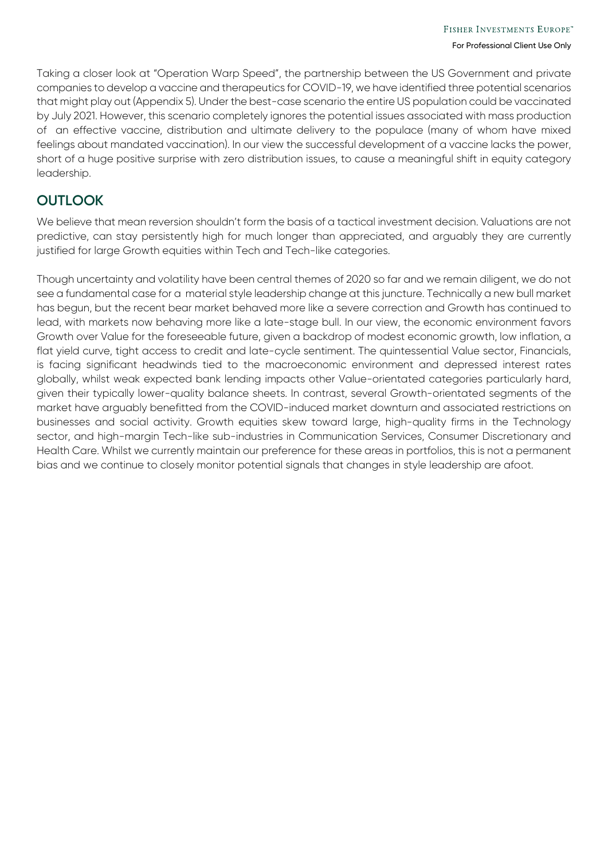Taking a closer look at "Operation Warp Speed", the partnership between the US Government and private companies to develop a vaccine and therapeutics for COVID-19, we have identified three potential scenarios that might play out (Appendix 5). Under the best-case scenario the entire US population could be vaccinated by July 2021. However, this scenario completely ignores the potential issues associated with mass production of an effective vaccine, distribution and ultimate delivery to the populace (many of whom have mixed feelings about mandated vaccination). In our view the successful development of a vaccine lacks the power, short of a huge positive surprise with zero distribution issues, to cause a meaningful shift in equity category leadership.

# **OUTLOOK**

We believe that mean reversion shouldn't form the basis of a tactical investment decision. Valuations are not predictive, can stay persistently high for much longer than appreciated, and arguably they are currently justified for large Growth equities within Tech and Tech-like categories.

Though uncertainty and volatility have been central themes of 2020 so far and we remain diligent, we do not see a fundamental case for a material style leadership change at this juncture. Technically a new bull market has begun, but the recent bear market behaved more like a severe correction and Growth has continued to lead, with markets now behaving more like a late-stage bull. In our view, the economic environment favors Growth over Value for the foreseeable future, given a backdrop of modest economic growth, low inflation, a flat yield curve, tight access to credit and late-cycle sentiment. The quintessential Value sector, Financials, is facing significant headwinds tied to the macroeconomic environment and depressed interest rates globally, whilst weak expected bank lending impacts other Value-orientated categories particularly hard, given their typically lower-quality balance sheets. In contrast, several Growth-orientated segments of the market have arguably benefitted from the COVID-induced market downturn and associated restrictions on businesses and social activity. Growth equities skew toward large, high-quality firms in the Technology sector, and high-margin Tech-like sub-industries in Communication Services, Consumer Discretionary and Health Care. Whilst we currently maintain our preference for these areas in portfolios, this is not a permanent bias and we continue to closely monitor potential signals that changes in style leadership are afoot.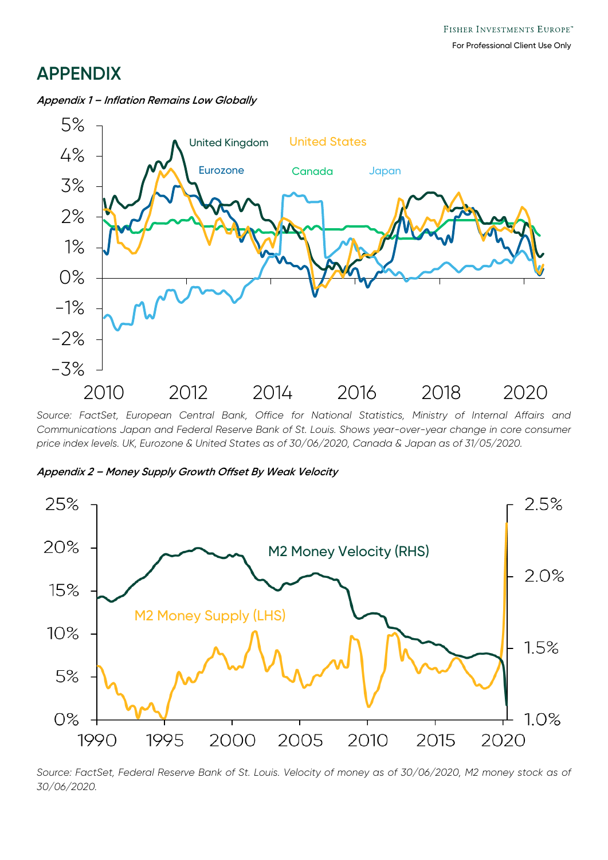# **APPENDIX**



**Appendix 1 – Inflation Remains Low Globally**

*Source: FactSet, European Central Bank, Office for National Statistics, Ministry of Internal Affairs and Communications Japan and Federal Reserve Bank of St. Louis. Shows year-over-year change in core consumer price index levels. UK, Eurozone & United States as of 30/06/2020, Canada & Japan as of 31/05/2020.*





*Source: FactSet, Federal Reserve Bank of St. Louis. Velocity of money as of 30/06/2020, M2 money stock as of 30/06/2020.*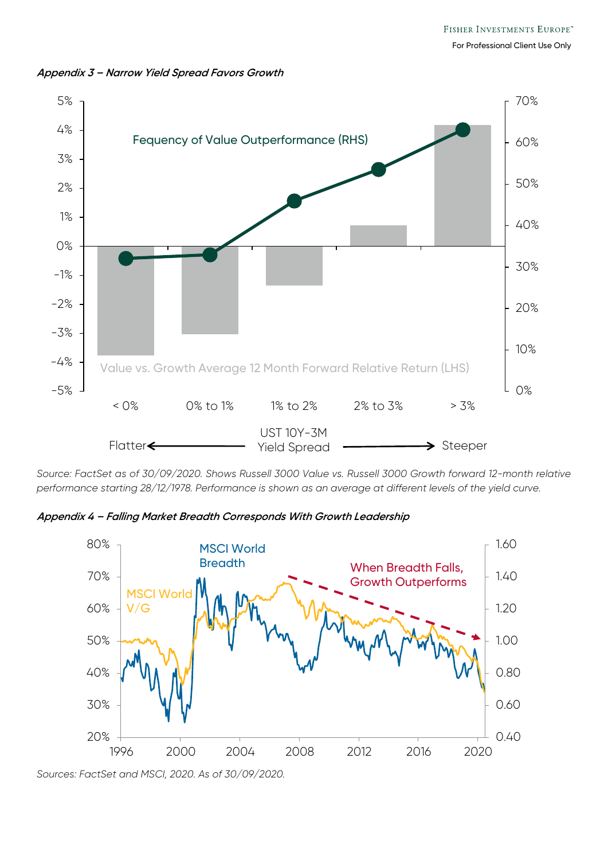



*Source: FactSet as of 30/09/2020. Shows Russell 3000 Value vs. Russell 3000 Growth forward 12-month relative performance starting 28/12/1978. Performance is shown as an average at different levels of the yield curve.*

**Appendix 4 – Falling Market Breadth Corresponds With Growth Leadership**



*Sources: FactSet and MSCI, 2020. As of 30/09/2020.*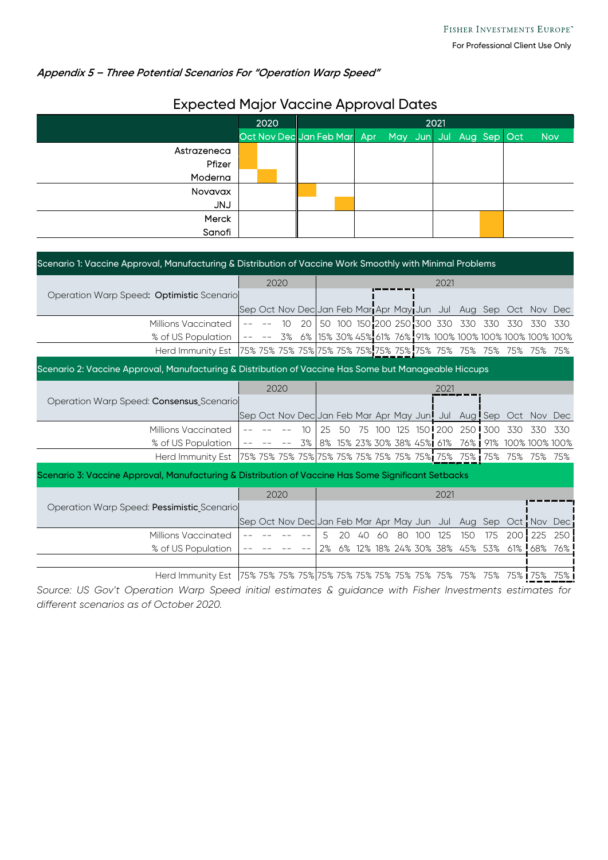### **Appendix 5 – Three Potential Scenarios For "Operation Warp Speed"**

|             | 2020 |  | 2021                                                |  |  |  |  |  |  |  |            |  |  |  |
|-------------|------|--|-----------------------------------------------------|--|--|--|--|--|--|--|------------|--|--|--|
|             |      |  | Oct Nov Dec Jan Feb Mar Apr May Jun Jul Aug Sep Oct |  |  |  |  |  |  |  | <b>Nov</b> |  |  |  |
| Astrazeneca |      |  |                                                     |  |  |  |  |  |  |  |            |  |  |  |
| Pfizer      |      |  |                                                     |  |  |  |  |  |  |  |            |  |  |  |
| Moderna     |      |  |                                                     |  |  |  |  |  |  |  |            |  |  |  |
| Novavax     |      |  |                                                     |  |  |  |  |  |  |  |            |  |  |  |
| <b>UNJ</b>  |      |  |                                                     |  |  |  |  |  |  |  |            |  |  |  |
| Merck       |      |  |                                                     |  |  |  |  |  |  |  |            |  |  |  |
| Sanofi      |      |  |                                                     |  |  |  |  |  |  |  |            |  |  |  |

## Expected Major Vaccine Approval Dates

| Scenario 1: Vaccine Approval, Manufacturing & Distribution of Vaccine Work Smoothly with Minimal Problems |  |              |    |    |      |    |    |     |    |     |                            |                                                                  |         |         |         |                                                                 |
|-----------------------------------------------------------------------------------------------------------|--|--------------|----|----|------|----|----|-----|----|-----|----------------------------|------------------------------------------------------------------|---------|---------|---------|-----------------------------------------------------------------|
| Operation Warp Speed: Optimistic Scenario                                                                 |  | 2020         |    |    | 2021 |    |    |     |    |     |                            |                                                                  |         |         |         |                                                                 |
|                                                                                                           |  |              |    |    |      |    |    |     |    |     |                            |                                                                  |         |         |         |                                                                 |
|                                                                                                           |  |              |    |    |      |    |    |     |    |     |                            | Sep Oct Nov Dec Jan Feb Mari Apr May Jun Jul Aug Sep Oct Nov Dec |         |         |         |                                                                 |
| Millions Vaccinated                                                                                       |  |              | 10 | 20 |      |    |    |     |    |     | 50 100 150 200 250 300 330 | 330                                                              | 330     | 330     | 330     | 330                                                             |
| % of US Population                                                                                        |  |              |    |    |      |    |    |     |    |     |                            |                                                                  |         |         |         | 3% 6% 15% 30% 45% 61% 76% 91% 100% 100% 100% 100% 100% 100%     |
|                                                                                                           |  |              |    |    |      |    |    |     |    |     |                            |                                                                  |         | 75% 75% |         | 75%                                                             |
| Scenario 2: Vaccine Approval, Manufacturing & Distribution of Vaccine Has Some but Manageable Hiccups     |  |              |    |    |      |    |    |     |    |     |                            |                                                                  |         |         |         |                                                                 |
|                                                                                                           |  | 2020         |    |    |      |    |    |     |    |     | 2021                       |                                                                  |         |         |         |                                                                 |
| Operation Warp Speed: Consensus Scenario                                                                  |  |              |    |    |      |    |    |     |    |     |                            |                                                                  |         |         |         |                                                                 |
|                                                                                                           |  |              |    |    |      |    |    |     |    |     |                            | Sep Oct Nov Dec Jan Feb Mar Apr May Jun! Jul Aug! Sep            |         |         |         | Oct Nov Dec                                                     |
| Millions Vaccinated                                                                                       |  |              |    | 10 | 25   | 50 | 75 | 100 |    |     | 125 150 200                |                                                                  | 250 300 | 330     | 330     | 330                                                             |
| % of US Population                                                                                        |  |              |    | 3% |      |    |    |     |    |     |                            |                                                                  |         |         |         | 8% 15% 23% 30% 38% 45% 61% 76% 91% 100% 100% 100%               |
| Herd Immunity Est                                                                                         |  |              |    |    |      |    |    |     |    |     |                            |                                                                  |         |         |         |                                                                 |
| Scenario 3: Vaccine Approval, Manufacturing & Distribution of Vaccine Has Some Significant Setbacks       |  |              |    |    |      |    |    |     |    |     |                            |                                                                  |         |         |         |                                                                 |
|                                                                                                           |  | 2020<br>2021 |    |    |      |    |    |     |    |     |                            |                                                                  |         |         |         |                                                                 |
| Operation Warp Speed: Pessimistic Scenario                                                                |  |              |    |    |      |    |    |     |    |     |                            |                                                                  |         |         |         |                                                                 |
|                                                                                                           |  |              |    |    |      |    |    |     |    |     |                            |                                                                  |         |         |         | Sep Oct Nov Dec Jan Feb Mar Apr May Jun Jul Aug Sep Oct Nov Dec |
| Millions Vaccinated                                                                                       |  |              |    |    | 5    | 20 | 40 | 60  | 80 | 100 | 125                        | 150                                                              | 175     | 200     | 225     | 250                                                             |
| % of US Population                                                                                        |  |              |    |    | 2%   | 6% |    |     |    |     |                            | 12% 18% 24% 30% 38% 45% 53%                                      |         |         | 61% 68% | 76%                                                             |
|                                                                                                           |  |              |    |    |      |    |    |     |    |     |                            |                                                                  |         |         |         |                                                                 |
|                                                                                                           |  |              |    |    |      |    |    |     |    |     |                            |                                                                  |         |         |         |                                                                 |

*Source: US Gov't Operation Warp Speed initial estimates & guidance with Fisher Investments estimates for different scenarios as of October 2020.*